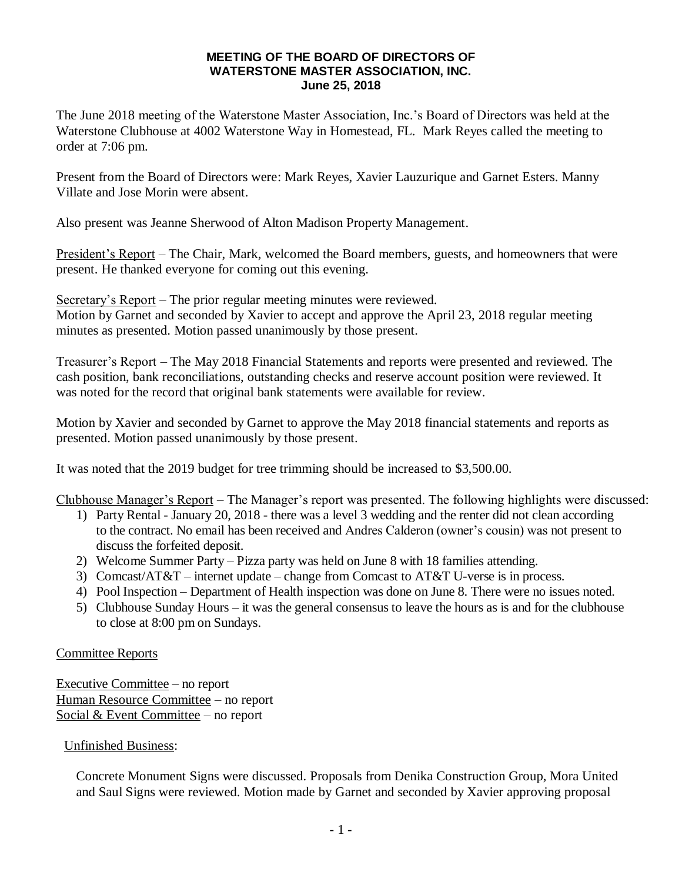## **MEETING OF THE BOARD OF DIRECTORS OF WATERSTONE MASTER ASSOCIATION, INC. June 25, 2018**

The June 2018 meeting of the Waterstone Master Association, Inc.'s Board of Directors was held at the Waterstone Clubhouse at 4002 Waterstone Way in Homestead, FL. Mark Reyes called the meeting to order at 7:06 pm.

Present from the Board of Directors were: Mark Reyes, Xavier Lauzurique and Garnet Esters. Manny Villate and Jose Morin were absent.

Also present was Jeanne Sherwood of Alton Madison Property Management.

President's Report – The Chair, Mark, welcomed the Board members, guests, and homeowners that were present. He thanked everyone for coming out this evening.

Secretary's Report – The prior regular meeting minutes were reviewed. Motion by Garnet and seconded by Xavier to accept and approve the April 23, 2018 regular meeting minutes as presented. Motion passed unanimously by those present.

Treasurer's Report – The May 2018 Financial Statements and reports were presented and reviewed. The cash position, bank reconciliations, outstanding checks and reserve account position were reviewed. It was noted for the record that original bank statements were available for review.

Motion by Xavier and seconded by Garnet to approve the May 2018 financial statements and reports as presented. Motion passed unanimously by those present.

It was noted that the 2019 budget for tree trimming should be increased to \$3,500.00.

Clubhouse Manager's Report – The Manager's report was presented. The following highlights were discussed:

- 1) Party Rental January 20, 2018 there was a level 3 wedding and the renter did not clean according to the contract. No email has been received and Andres Calderon (owner's cousin) was not present to discuss the forfeited deposit.
- 2) Welcome Summer Party Pizza party was held on June 8 with 18 families attending.
- 3) Comcast/AT&T internet update change from Comcast to AT&T U-verse is in process.
- 4) Pool Inspection Department of Health inspection was done on June 8. There were no issues noted.
- 5) Clubhouse Sunday Hours it was the general consensus to leave the hours as is and for the clubhouse to close at 8:00 pm on Sundays.

## Committee Reports

Executive Committee – no report Human Resource Committee – no report Social & Event Committee – no report

Unfinished Business:

Concrete Monument Signs were discussed. Proposals from Denika Construction Group, Mora United and Saul Signs were reviewed. Motion made by Garnet and seconded by Xavier approving proposal